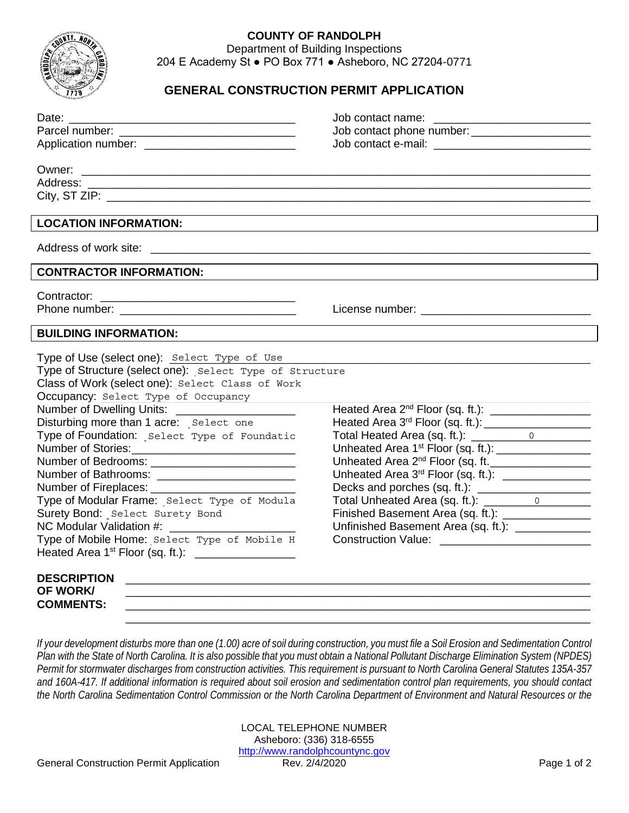

## **COUNTY OF RANDOLPH**

Department of Building Inspections 204 E Academy St ● PO Box 771 ● Asheboro, NC 27204-0771

## **GENERAL CONSTRUCTION PERMIT APPLICATION**

|                                                                                                                                                                                                                                                                                                                                                                                                                                                                                                                                                                                                                                                                                                                  | Job contact phone number: ________________________                                                                                                                                                                                                                                                                                                                                                                                                                                                                     |  |
|------------------------------------------------------------------------------------------------------------------------------------------------------------------------------------------------------------------------------------------------------------------------------------------------------------------------------------------------------------------------------------------------------------------------------------------------------------------------------------------------------------------------------------------------------------------------------------------------------------------------------------------------------------------------------------------------------------------|------------------------------------------------------------------------------------------------------------------------------------------------------------------------------------------------------------------------------------------------------------------------------------------------------------------------------------------------------------------------------------------------------------------------------------------------------------------------------------------------------------------------|--|
| Application number: ____________________________                                                                                                                                                                                                                                                                                                                                                                                                                                                                                                                                                                                                                                                                 |                                                                                                                                                                                                                                                                                                                                                                                                                                                                                                                        |  |
|                                                                                                                                                                                                                                                                                                                                                                                                                                                                                                                                                                                                                                                                                                                  |                                                                                                                                                                                                                                                                                                                                                                                                                                                                                                                        |  |
|                                                                                                                                                                                                                                                                                                                                                                                                                                                                                                                                                                                                                                                                                                                  |                                                                                                                                                                                                                                                                                                                                                                                                                                                                                                                        |  |
|                                                                                                                                                                                                                                                                                                                                                                                                                                                                                                                                                                                                                                                                                                                  |                                                                                                                                                                                                                                                                                                                                                                                                                                                                                                                        |  |
|                                                                                                                                                                                                                                                                                                                                                                                                                                                                                                                                                                                                                                                                                                                  |                                                                                                                                                                                                                                                                                                                                                                                                                                                                                                                        |  |
| <b>LOCATION INFORMATION:</b>                                                                                                                                                                                                                                                                                                                                                                                                                                                                                                                                                                                                                                                                                     |                                                                                                                                                                                                                                                                                                                                                                                                                                                                                                                        |  |
|                                                                                                                                                                                                                                                                                                                                                                                                                                                                                                                                                                                                                                                                                                                  |                                                                                                                                                                                                                                                                                                                                                                                                                                                                                                                        |  |
| <b>CONTRACTOR INFORMATION:</b>                                                                                                                                                                                                                                                                                                                                                                                                                                                                                                                                                                                                                                                                                   |                                                                                                                                                                                                                                                                                                                                                                                                                                                                                                                        |  |
|                                                                                                                                                                                                                                                                                                                                                                                                                                                                                                                                                                                                                                                                                                                  |                                                                                                                                                                                                                                                                                                                                                                                                                                                                                                                        |  |
|                                                                                                                                                                                                                                                                                                                                                                                                                                                                                                                                                                                                                                                                                                                  |                                                                                                                                                                                                                                                                                                                                                                                                                                                                                                                        |  |
| <b>BUILDING INFORMATION:</b>                                                                                                                                                                                                                                                                                                                                                                                                                                                                                                                                                                                                                                                                                     |                                                                                                                                                                                                                                                                                                                                                                                                                                                                                                                        |  |
| Type of Use (select one): Select Type of Use<br>Type of Structure (select one): Select Type of Structure<br>Class of Work (select one): Select Class of Work<br>Occupancy: Select Type of Occupancy<br>Number of Dwelling Units: ______________________<br>Disturbing more than 1 acre: Select one<br>Type of Foundation: Select Type of Foundatic<br>Number of Bathrooms: _________________________<br>Type of Modular Frame: Select Type of Modula<br>Surety Bond: Select Surety Bond<br>NC Modular Validation #:<br><u> 1989 - Johann Barbara, martin da basar</u><br>Type of Mobile Home: Select Type of Mobile H<br>Heated Area 1 <sup>st</sup> Floor (sq. ft.): ____________________<br><b>DESCRIPTION</b> | Heated Area 3 <sup>rd</sup> Floor (sq. ft.): ___________________<br>Total Heated Area (sq. ft.): \[\]<br>Unheated Area 1 <sup>st</sup> Floor (sq. ft.): _________________<br>Unheated Area 2 <sup>nd</sup> Floor (sq. ft. ___________________<br>Unheated Area 3 <sup>rd</sup> Floor (sq. ft.): _______________<br>Decks and porches (sq. ft.): _______________________<br>Total Unheated Area (sq. ft.): 0<br>Finished Basement Area (sq. ft.): ________________<br>Unfinished Basement Area (sq. ft.): _____________ |  |
| <b>OF WORK/</b><br><b>COMMENTS:</b>                                                                                                                                                                                                                                                                                                                                                                                                                                                                                                                                                                                                                                                                              |                                                                                                                                                                                                                                                                                                                                                                                                                                                                                                                        |  |

*If your development disturbs more than one (1.00) acre of soil during construction, you must file a Soil Erosion and Sedimentation Control Plan with the State of North Carolina. It is also possible that you must obtain a National Pollutant Discharge Elimination System (NPDES) Permit for stormwater discharges from construction activities. This requirement is pursuant to North Carolina General Statutes 135A-357 and 160A-417. If additional information is required about soil erosion and sedimentation control plan requirements, you should contact the North Carolina Sedimentation Control Commission or the North Carolina Department of Environment and Natural Resources or the* 

\_\_\_\_\_\_\_\_\_\_\_\_\_\_\_\_\_\_\_\_\_\_\_\_\_\_\_\_\_\_\_\_\_\_\_\_\_\_\_\_\_\_\_\_\_\_\_\_\_\_\_\_\_\_\_\_\_\_\_\_\_\_\_\_\_\_\_\_\_\_\_\_\_\_

LOCAL TELEPHONE NUMBER Asheboro: (336) 318-6555 http://www.randolphcountync.gov<br>Rev. 2/4/2020